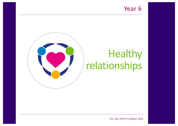## Year 6



## Healthy relationships

You, Me, PSHE © Islington 2020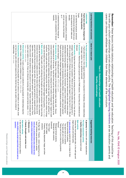line with your school's relationships and sex education policy. The highlighted learning intentions are sex education: parents and<br>carers can choose to withdraw their children from these elements of the curriculum. Remember: these lessons include statutory relationships and health education and sex education. Teaching of this should be in carers can choose to withdraw their children from these elements of the curriculum. line with your school's relationships and sex education policy. The **Remember:** these lessons include statutory relationships and health education and sex education. Teaching of this should be in **Relationships and health Healthy relationships highlighted learning intentionseducation** are sex education: parents and X education: parents and

**Year 6 - Relationships and health education Relationships and health**

**education**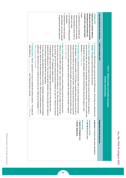| Ξ                                                        |
|----------------------------------------------------------|
| ۹                                                        |
| $\frac{c}{r}$<br>ŗ<br>֧֞֝֜֜֜֜֜֜֜֜֜֜֜֜֜֜֜֜֜֜ <del>֟</del> |
| ര                                                        |
| n<br>ī                                                   |
| パクト                                                      |

| ٠<br>٠<br>• understand how our attitudes and<br>stereotyping and sexuality and<br>attitudes and values around gender<br>Pupils<br>consider their origin and impact<br>Pupils learn to consider different<br>LESSON TWO<br>understand how media messages<br>can recognise and challenge gender<br>of opportunity and affect behaviour<br>affect attitudes, can cause inequality<br>sereotypes<br>values about gender and sexuality<br>religion and culture<br>may be affected by factors such as                                                                                                                                                                                                                                                                                                                                                                                                                                                                                                                                                                                                                                                                                                                                                                                                                                                                                                                                                                                                                                                                                                                                                                                                                                                                                                                                                                                                                                                                                                                                                                                                                                                                                                                                                                                                                                                                         | Learning intentions and outcomes |                                                                             |
|-------------------------------------------------------------------------------------------------------------------------------------------------------------------------------------------------------------------------------------------------------------------------------------------------------------------------------------------------------------------------------------------------------------------------------------------------------------------------------------------------------------------------------------------------------------------------------------------------------------------------------------------------------------------------------------------------------------------------------------------------------------------------------------------------------------------------------------------------------------------------------------------------------------------------------------------------------------------------------------------------------------------------------------------------------------------------------------------------------------------------------------------------------------------------------------------------------------------------------------------------------------------------------------------------------------------------------------------------------------------------------------------------------------------------------------------------------------------------------------------------------------------------------------------------------------------------------------------------------------------------------------------------------------------------------------------------------------------------------------------------------------------------------------------------------------------------------------------------------------------------------------------------------------------------------------------------------------------------------------------------------------------------------------------------------------------------------------------------------------------------------------------------------------------------------------------------------------------------------------------------------------------------------------------------------------------------------------------------------------------------|----------------------------------|-----------------------------------------------------------------------------|
| ٠<br>● Ground rules: Remind the pupils of ground rules for PSHE lessons. Ensure they are understood and<br>Introductory activity: Groups are given the gender 'male' or 'female' and asked to look through<br>Hook activity: Explain that in this lesson we will look more closely at what affects our attitudes to<br>Closing activity: Routers and the it in turns to connole the sentence starters,<br>circle (e.g. media - TV, magazines, religion, school).<br>Main activity: Explain we are going to look at a circle of influence and the wider structures that<br>definitions. Pairs, whole class<br>gender and sexuality. We will discuss stereotypes, equality and discrimination. Ask pairs to define the<br>getting older?, What kind of a man or woman do you want to be?, What are the challenges? Whole<br>respect. Ask, What do you like about being a girl or a boy?, What are you looking forward to about<br>on the continuum. Pupils also add their own statements<br>represents the middle ground). They read each gender statement, discuss and place each statement<br>boy on the board, then a second circle around the existing one. Ask, What influences<br>influence us and can define gender roles. Teacher draws a circle with an image or the<br>and draw out how people might feel or behave and whether the images are positive or<br>pictures and what they tell us about how people, girls and boys should look and behave. Discuss<br>females, girls and women and stick round a body outline. They discuss what they notice about the<br>the newspapers / magazines provided, to find images or headlines about males, boys and men or<br>words gender, sexuality, stereotypes, equality and discrimination. Discuss and agree or<br>followed. This lesson is about becoming men and women.<br>affect attitudes by<br>class, small groups, whole class<br>As a class, discuss each statement, drawing out opinions, challenging stereotypes and<br>In small groups, pupils place 'agree' and 'disagree' labels at either end of their table (the centre<br>men and boys, girls and women should and should not behave, be, look, etc? Record in<br>Groups, whole class<br>and 'During the lessen I learned<br>The media can<br>Mhole class<br>encouraging<br>how we think<br>words girl,<br>negative.<br><b>class</b><br>the second | Ideas for a lesson plan          | Year 6 - Relationships and health education<br><b>Healthy relationships</b> |
| • Gender statements<br>A glossary for teachers with simple explanations<br>. Let's do it! picture sheet<br>Introductory activity<br>Main activity<br>Agree and disagree signs                                                                                                                                                                                                                                                                                                                                                                                                                                                                                                                                                                                                                                                                                                                                                                                                                                                                                                                                                                                                                                                                                                                                                                                                                                                                                                                                                                                                                                                                                                                                                                                                                                                                                                                                                                                                                                                                                                                                                                                                                                                                                                                                                                                           | Suggested teaching resources     |                                                                             |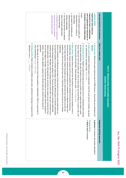|                                                                                                                                            | Year 6 - Relationships and health education<br>Healthy relationships                                                                                                                                                                                                                                                                                                                                                                           |                                                                                                   |
|--------------------------------------------------------------------------------------------------------------------------------------------|------------------------------------------------------------------------------------------------------------------------------------------------------------------------------------------------------------------------------------------------------------------------------------------------------------------------------------------------------------------------------------------------------------------------------------------------|---------------------------------------------------------------------------------------------------|
| Learning intentions and outcomes                                                                                                           | Ideas for a lesson plan                                                                                                                                                                                                                                                                                                                                                                                                                        | Suggested teaching resources                                                                      |
| Pupils learn what values are<br>and to appreciate the importance of<br>important to them in relationships<br>LESSON THREE                  | ٠<br>Hook activity: Brainstorm different types of relationship. Circle the ones that are 'intimate' (eg going<br>Ground rules: Remind the pupils of ground rules for PSHE lessons. Ensure they are u<br>out, adult partners, marriage, loving). Whole class<br>tollowed<br>nderstood and                                                                                                                                                       | Closing activity<br>A glossary for teachers with simple explanations<br>• What is love? worksheet |
| • can identify positive qualities and<br>Pupils<br>friendship in intimate relationships<br>expectations from a variety of<br>relationships | ٠<br>Introductory activity: Explain to pupils that today we are going to focus on friendships<br>friend. Publist then meet with a population of the right is the coop these on a boost-it population of the con-<br>at intimate relationships. Ask pairs of pupils to record on a post-it note a quality that makes a good<br>they have at least nine examples. Share examples as a class. $P\ddot{a}$ is, $\ddot{b}$ in $h$<br>before looking |                                                                                                   |
| $\bullet$<br>can explain the similarities and<br>differences between friendships and                                                       | ٠<br>Main activity: Teacher draws a diamord with rine sections on the board as an example of how to<br>prioritise ideas. Groups of pupils use the nine qualities they collected during the introductory                                                                                                                                                                                                                                        |                                                                                                   |
| ٠<br>can describe that there are different<br>intate relationships                                                                         | most to least important). Explain that pupils can agree to eliminate some qualities and add new<br>activity and rank them, showing the qualities needed for a friendship on a diamond shape (from                                                                                                                                                                                                                                              |                                                                                                   |
| including marriage<br>types of intimate relationships.                                                                                     | qualities if they wish (as long as they have nine). Pupils then repeat this process for an<br>relationship.<br>intimate                                                                                                                                                                                                                                                                                                                        |                                                                                                   |
| ٠<br>understand that sex or making love<br>may be one part of an intimate                                                                  | be imaginal da liquis in intimate permission in the different of pess of intimation in the containment of the contract of the contract of the contract of the contract of the contract of the contract of the contract of the<br>Discuss similarities and differences and draw out that romantic love and a sexual relationship can                                                                                                            |                                                                                                   |
| relationship between adults                                                                                                                | including marriage and the law relating to this. There are different types of intimate relationship<br>including marriage. Marriage is when two people commit to each other in law and is intended to be a                                                                                                                                                                                                                                     |                                                                                                   |
|                                                                                                                                            | guardians.<br>sixteen. Anyone under eighteen wanting to be married needs the consent of their parents or<br>are civil and religious marriages. The minimum age someone can be legally married in England is<br>lifelong relationship. In the UK, both opposite-sex and same-sex couples can get married and there                                                                                                                              |                                                                                                   |
|                                                                                                                                            | ٠<br>Closing activity: Pupils complete a worksheet using words, sentences or drawings in response to the<br>statement: Love is<br>have relationships? Groups, whole class<br>Ask, What age do you have to be to have these qualities in relationships? When is a good time to<br>Individual                                                                                                                                                    |                                                                                                   |
|                                                                                                                                            |                                                                                                                                                                                                                                                                                                                                                                                                                                                |                                                                                                   |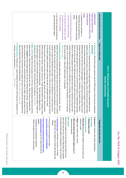| ۰<br>۰<br>٠<br>• Enderstand that closeness in a<br>Pupils<br>reproduction in the context of the<br>human lifecycle<br><b>Pupils learn about human</b><br><b>LESSON FOUR</b><br>can name the male and female sex<br>is related to conception<br>and explain how sexual intercourse<br>can describe how babies are made<br>one part of a sexual relationship<br>know that sexual intercourse may be<br>cells and reproductive organs<br>adults<br>variety of ways between consenting<br>relationship can be expressed in a                                                                                                                                                                                                                                                                                                                                                                                                                                                                                                                                                                                                                                                                                                                                                                                                                                                                                                                                                                                                                                                                                                                                                                                                                                                                                                                                                                                                                                                                                                                                                                                                                                                                                                                                                                                                                                                                                                                                                                                                                                                                                                                                                                                                                                                                                                                                                                                                                                                                                                                                                                                                                                                                                                                                                                                 | Learning intentions and outcomes |                                                                             |
|----------------------------------------------------------------------------------------------------------------------------------------------------------------------------------------------------------------------------------------------------------------------------------------------------------------------------------------------------------------------------------------------------------------------------------------------------------------------------------------------------------------------------------------------------------------------------------------------------------------------------------------------------------------------------------------------------------------------------------------------------------------------------------------------------------------------------------------------------------------------------------------------------------------------------------------------------------------------------------------------------------------------------------------------------------------------------------------------------------------------------------------------------------------------------------------------------------------------------------------------------------------------------------------------------------------------------------------------------------------------------------------------------------------------------------------------------------------------------------------------------------------------------------------------------------------------------------------------------------------------------------------------------------------------------------------------------------------------------------------------------------------------------------------------------------------------------------------------------------------------------------------------------------------------------------------------------------------------------------------------------------------------------------------------------------------------------------------------------------------------------------------------------------------------------------------------------------------------------------------------------------------------------------------------------------------------------------------------------------------------------------------------------------------------------------------------------------------------------------------------------------------------------------------------------------------------------------------------------------------------------------------------------------------------------------------------------------------------------------------------------------------------------------------------------------------------------------------------------------------------------------------------------------------------------------------------------------------------------------------------------------------------------------------------------------------------------------------------------------------------------------------------------------------------------------------------------------------------------------------------------------------------------------------------------------|----------------------------------|-----------------------------------------------------------------------------|
| ٠<br>٠<br>٠<br>٠<br>Introductory activity: Intimate relationships can lead to sex and sexual intercourse. We are<br>Main activity: Explain that we are going to see a film clip, explaining sexual intercourse<br>Hook activity: Explain that last lesson we talked about different types of relationships and their<br>Closing activity: Closing round - pupils complete the sentence 'One thing that is important in an<br>share one thing the year behember or learned about how a baby is made. Discuss and draw out how<br>babies are made. Pupils watch and then discuss as a class. Draw out that it is important that<br>are going to watch a clip to see further, what these parts of the body do. Whole class<br>going to name the sexual body parts and discuss sexual intercourse, which is one part of a sexual<br>that change (cuddles / hugs and holding hands, for example).<br>happen in all or most relationships and it's not the action but the intensity of it or our feelings<br>consent (saying yes) at each stage of a relationship (e.g. touching). Explain that some<br>different for different people and that it is important each person is listened to and gives their<br>closer and more intimate. They might add ideas onto blank cards. Discuss that the order may be<br>qualities; today we are focusing on intimate relationships, which can become sexual relationships.<br>and followed<br>Ground rules: Remind the pupils of ground rules for PSHE lessons. Ensure they are understood<br>sexual intercourse is just one part of sex (explain that sex is one way that two willing adu<br>reproductive organs of males and females and identifies any the pupils found difficult. Explain we<br>have that body part, and move to the corresponding label. Teacher displays diagrams of the<br>labels of body parts (names / pictures) one by one. Pupils decide whether males, femal<br>Signs are pinned in each comer of the classroom: male, female, both, unsure. Pupils are given<br>correct, scientific names for parts of the body, so that if we are talking to anyone else (eg a doctor).<br>a woman, to help us understand how a baby is made. It is important for us to learn and use the<br>(teacher models) and place the cards on it to show two people in a relationship might get<br>intimate) and the relationships of the strip of the state of the state of the condensing of the state of the state of the state of the state of the state of the state of the state of the state of the state of the state of<br>Relationships cards that show what might happen in a relationship as people get closer (more<br>intimate or sexual relationship is<br>they care about each other using intimate touching). Whole class, pairs, whole class<br>there is consent and both people agree and want this intimate physical contact. Use paired talk to<br>we are able to explain ourselves clearly and they are able to understand what we mean.<br>relationship. We are going to learn about reproduction and sexual intercourse between a<br>Whole class, pairs<br>There are things that people in loving relationships might choose to do together. Pupils look at the<br>Whole class<br>and how<br>es or both<br>man and<br>actions<br>lts show | Ideas for a lesson plan          | Year 6 - Relationships and health education<br><b>Healthy relationships</b> |
| ٠<br>$\bullet$<br>• www.amaze.org/jr (scroll down to amaze jr. for Kids)<br>some clips will also explain contraception or refer to clitoris):<br>class and in line with your school's RSE policy (for example<br>Some clips to watch prior to the lesson and select for your<br>Introductory activity<br><b>Hook activity</b><br>A glossary for teachers with simple explanations<br>Main activity<br>Body part labels (choose whether to use just words, just<br>Relationships cards<br>https://amaze.org/video/pregnancy-reproduction-<br>The true story of how babies are made<br>Male and female reproductive organs diagrams<br>Signs (male, female, both, unsure).<br>suitable:<br>pictures or both)<br>- Where do babies come from? (scroll down)<br>explained/#educators has two videos that may be<br>www.youtube.com/watch?v=01fdnMZ0tbM<br>- Pregnancy and reproduction explained<br>(external and internal)<br>Help kids learn how babies are made (with Scoops and<br>friends)                                                                                                                                                                                                                                                                                                                                                                                                                                                                                                                                                                                                                                                                                                                                                                                                                                                                                                                                                                                                                                                                                                                                                                                                                                                                                                                                                                                                                                                                                                                                                                                                                                                                                                                                                                                                                                                                                                                                                                                                                                                                                                                                                                                                                                                                                                              | Suggested teaching resources     |                                                                             |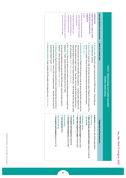| • know what pregnancy is, where it<br>• can define conception and<br>• know the male and female body<br>Pupils<br>bregnancy)<br>and grows (conception and<br>Pupils learn how a baby is made<br>LESSON FIVE<br>occurs and how long it takes<br>implantation in the womb<br>understand the importance of<br>sud pregnancy<br>parts associated with conception                                                                                                                                                                                                                                                                                                                                                                                                                                                                                                                                                                                                                                                                                                                                                                                                                                                                                                                                                                                                                                                                                                          | Learning intentions and outcomes |                                                                             |
|-----------------------------------------------------------------------------------------------------------------------------------------------------------------------------------------------------------------------------------------------------------------------------------------------------------------------------------------------------------------------------------------------------------------------------------------------------------------------------------------------------------------------------------------------------------------------------------------------------------------------------------------------------------------------------------------------------------------------------------------------------------------------------------------------------------------------------------------------------------------------------------------------------------------------------------------------------------------------------------------------------------------------------------------------------------------------------------------------------------------------------------------------------------------------------------------------------------------------------------------------------------------------------------------------------------------------------------------------------------------------------------------------------------------------------------------------------------------------|----------------------------------|-----------------------------------------------------------------------------|
| ● Colosing activity: Pupils witte anonymous duestions about anything else they would like to<br>. Main activity: Groups are given a set of cards containing statements about conception<br>• Introductory a cityity Explaint that we going to tecap the sexual reproductory a residuor over<br>● How a crivitivic simult from the mand and termation conditions along the mumb profile of the distance of the<br>• Ground rules: Remind the pupils of ground rules for PSHE lessons. Ensure they are<br>Alternative activity: Pupils complete the Conception and pregnancy quiz. Whole class<br>answering in lesson seven. Individual<br>know following this lesson – write on the Your questions sheet. I leader toolects these<br>any misconceptions. Whole class, groups, whole class<br>pregnancy begins (verifiting the sentencess). Talt through withing burbally or having and class and clarity<br>How does pregnancy begin? pictures. They then use the words sheet to describe how<br>sexual intercourse can lead to conception and pregnancy. In groups pupils sequence the<br>correct, or scientific names for the external and internal sexual reproductive organs<br>reference. Clarify any misconceptions Groups, whole class<br>Go through the statements and discuss them with the pupils using the answer sheet for<br>pregnancy. Pupils decide whether the statements are true or talse<br>understood and followed<br>Whole class<br>đ<br>and<br>ω | Ideas for a lesson plan          | Year 6 - Relationships and health educatior<br><b>Healthy relationships</b> |
| Main activity<br>. How does pregnancy begin? words sheet<br>• Male and female reproductive organs diagrams (external<br><b>Hook activity</b><br>• Conception and pregnancy quiz (A or B)<br>• Your questions sheet<br>• Conception and pregnancy answer sheet<br>• Conception and pregnancy statements<br>. How does pregnancy begin? picture cards<br>Introductory activity<br>A glossary for teachers with simple explanations<br>Alternative activity<br>Closing activity<br>and internal)                                                                                                                                                                                                                                                                                                                                                                                                                                                                                                                                                                                                                                                                                                                                                                                                                                                                                                                                                                         | Suggested teaching resources     |                                                                             |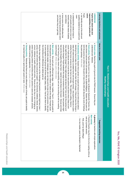|                                                                                                                                                                                                                                                                                                                                                                                                                                                                                                                                                                                                                                                                                                                                                                                                                                                                                                                                                                                                                                                                                                                                     | • understand the variety of ways in<br>٠<br>Pupils<br>carers<br>• can identify some of the skills and<br>responsibilities of parents and<br>Pupils learn about roles and<br><b>LESSON SIX</b><br>know some of the difficulties that<br>qualities needed to be a parent and<br>and where they can get help.<br>can be faced by parents and carers<br>and children<br>women) meet the needs of babies<br>which parents and carers (men and<br>carer                                                                                                                                                                                                                                                                                                                                                                                                                                                                                                                                                                                                                                                                                                                                                                                                                                                                                                                                                                           | Learning intentions and outcomes |                                                                             |
|-------------------------------------------------------------------------------------------------------------------------------------------------------------------------------------------------------------------------------------------------------------------------------------------------------------------------------------------------------------------------------------------------------------------------------------------------------------------------------------------------------------------------------------------------------------------------------------------------------------------------------------------------------------------------------------------------------------------------------------------------------------------------------------------------------------------------------------------------------------------------------------------------------------------------------------------------------------------------------------------------------------------------------------------------------------------------------------------------------------------------------------|-----------------------------------------------------------------------------------------------------------------------------------------------------------------------------------------------------------------------------------------------------------------------------------------------------------------------------------------------------------------------------------------------------------------------------------------------------------------------------------------------------------------------------------------------------------------------------------------------------------------------------------------------------------------------------------------------------------------------------------------------------------------------------------------------------------------------------------------------------------------------------------------------------------------------------------------------------------------------------------------------------------------------------------------------------------------------------------------------------------------------------------------------------------------------------------------------------------------------------------------------------------------------------------------------------------------------------------------------------------------------------------------------------------------------------|----------------------------------|-----------------------------------------------------------------------------|
| $\bullet$<br>Main activity: Give each pair a different age stage - baby / toddler / Year 6 - and ask pupils to<br>Closing activity: Reiterate that there are many different types of farmily, ask pupils to identify<br>and/or supporting children and families other than parents or carers (for example, schools,<br>school, midwives or health visitors) and online. Discuss who else has a role in bringing up<br>young / any!) and where they could go for support - the community (relatives, friends, doctors,<br>Bring the class together and draw out the challenges that parents or carers might face (new /<br>the similarities and differences as babies grow up.<br>to come together so the group has all three stages (baby, toddler, Year 6) ask them to identify<br>include the skills needed, challenges, who can help and the roles of men and women. Ask pairs<br>an important quality of a 'good enough' parent or carer. Whole class<br>children's centres, grandparents). Pairs, groups, whole class<br>list what parents or carers do to look after their children or babies at this stage. Prompts<br>pinoo | $\bullet$<br>$\bullet$<br>• Ground rules: Remind the pupils of ground rules for PSHE lessons. Ensure they are<br>Introductory activity: Explain that a person or couple will have a lot to think about before<br>Hook activity. Pupils read the poem I luv me mudder, by Benjamin Zephaniah (Teacher<br>careful thought. Whole class, pairs, whole class.<br>out that having a baby means extra responsibility and can be exciting as well as need<br>whether they know someone who has had a new baby. This might be a sibling, friend or<br>deciding to have a baby (for example, how their life will change, if they will have the things a<br>also choose a second poem (for example, Kids, by Spike Milligan)). Explain that the poem (or<br>understood and followed.<br>feel and the thoughts they may have - teacher records these on the board. Discuss and draw<br>cousin. Pupils discuss what it must be like for new parents and carers when a baby is born.<br>the poem portrays. Whole class<br>both the poems) are written from the point of view of the child and discuss the sorts of feelings<br>emotional changes? Pupils feedback the range of emotions that potential / new parents might<br>How might their life change? How might people feel about that? Can we list the practical and<br>baby will need including a suitable home and enough money). Ask pupils to discuss in pairs<br>LUG<br>r may | Ideas for a lesson plan          | Year 6 - Relationships and health education<br><b>Healthy relationships</b> |
|                                                                                                                                                                                                                                                                                                                                                                                                                                                                                                                                                                                                                                                                                                                                                                                                                                                                                                                                                                                                                                                                                                                                     | • Poem(s) (Teacher may like to find a live reading online as<br>Main activity<br>A glossary for teachers with simple explanations<br>well as a printed version)<br>Kids, poem by Spike Milligan<br>I luv me mudder, poem by Benjamin Zephaniah                                                                                                                                                                                                                                                                                                                                                                                                                                                                                                                                                                                                                                                                                                                                                                                                                                                                                                                                                                                                                                                                                                                                                                              | Suggested teaching resources     |                                                                             |